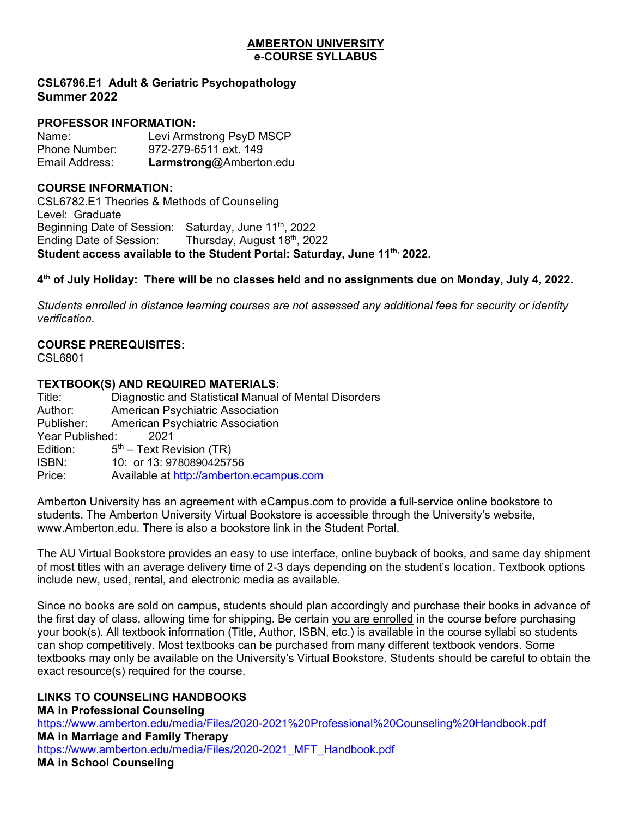#### **AMBERTON UNIVERSITY e-COURSE SYLLABUS**

# **CSL6796.E1 Adult & Geriatric Psychopathology Summer 2022**

# **PROFESSOR INFORMATION:**

| Name:          | Levi Armstrong PsyD MSCP |
|----------------|--------------------------|
| Phone Number:  | 972-279-6511 ext. 149    |
| Email Address: | Larmstrong@Amberton.edu  |

# **COURSE INFORMATION:**

CSL6782.E1 Theories & Methods of Counseling Level: Graduate Beginning Date of Session: Saturday, June 11<sup>th</sup>, 2022 Ending Date of Session: Thursday, August  $18<sup>th</sup>$ , 2022 **Student access available to the Student Portal: Saturday, June 11th, 2022.**

# **4th of July Holiday: There will be no classes held and no assignments due on Monday, July 4, 2022.**

*Students enrolled in distance learning courses are not assessed any additional fees for security or identity verification.*

# **COURSE PREREQUISITES:**

CSL6801

# **TEXTBOOK(S) AND REQUIRED MATERIALS:**

| Title:          | Diagnostic and Statistical Manual of Mental Disorders |
|-----------------|-------------------------------------------------------|
| Author:         | American Psychiatric Association                      |
|                 | Publisher: American Psychiatric Association           |
| Year Published: | -2021                                                 |
| Edition:        | $5th$ – Text Revision (TR)                            |
| ISBN:           | 10: or 13: 9780890425756                              |
| Price:          | Available at http://amberton.ecampus.com              |
|                 |                                                       |

Amberton University has an agreement with eCampus.com to provide a full-service online bookstore to students. The Amberton University Virtual Bookstore is accessible through the University's website, www.Amberton.edu. There is also a bookstore link in the Student Portal.

The AU Virtual Bookstore provides an easy to use interface, online buyback of books, and same day shipment of most titles with an average delivery time of 2-3 days depending on the student's location. Textbook options include new, used, rental, and electronic media as available.

Since no books are sold on campus, students should plan accordingly and purchase their books in advance of the first day of class, allowing time for shipping. Be certain you are enrolled in the course before purchasing your book(s). All textbook information (Title, Author, ISBN, etc.) is available in the course syllabi so students can shop competitively. Most textbooks can be purchased from many different textbook vendors. Some textbooks may only be available on the University's Virtual Bookstore. Students should be careful to obtain the exact resource(s) required for the course.

# **LINKS TO COUNSELING HANDBOOKS**

**MA in Professional Counseling** <https://www.amberton.edu/media/Files/2020-2021%20Professional%20Counseling%20Handbook.pdf> **MA in Marriage and Family Therapy** [https://www.amberton.edu/media/Files/2020-2021\\_MFT\\_Handbook.pdf](https://www.amberton.edu/media/Files/2020-2021_MFT_Handbook.pdf) **MA in School Counseling**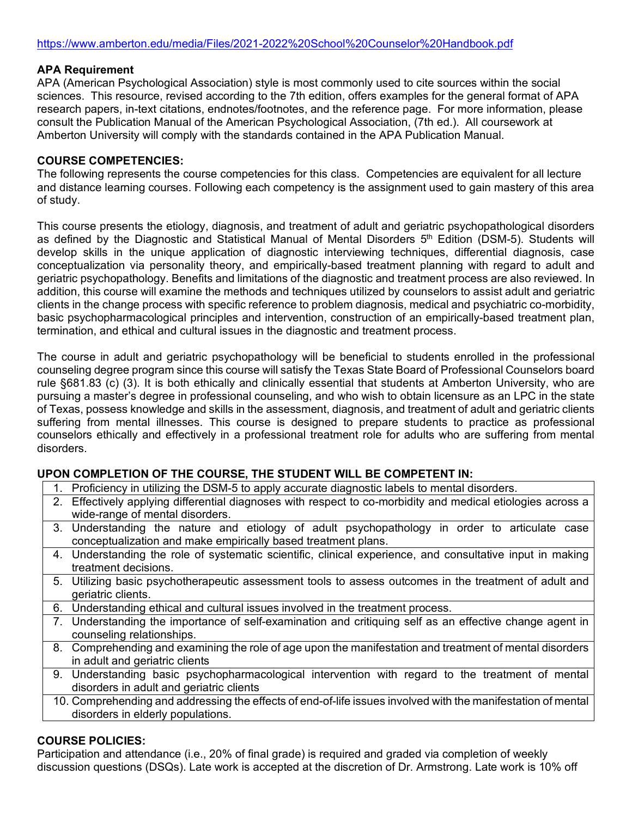### **APA Requirement**

APA (American Psychological Association) style is most commonly used to cite sources within the social sciences. This resource, revised according to the 7th edition, offers examples for the general format of APA research papers, in-text citations, endnotes/footnotes, and the reference page. For more information, please consult the Publication Manual of the American Psychological Association, (7th ed.). All coursework at Amberton University will comply with the standards contained in the APA Publication Manual.

## **COURSE COMPETENCIES:**

The following represents the course competencies for this class. Competencies are equivalent for all lecture and distance learning courses. Following each competency is the assignment used to gain mastery of this area of study.

This course presents the etiology, diagnosis, and treatment of adult and geriatric psychopathological disorders as defined by the Diagnostic and Statistical Manual of Mental Disorders 5<sup>th</sup> Edition (DSM-5). Students will develop skills in the unique application of diagnostic interviewing techniques, differential diagnosis, case conceptualization via personality theory, and empirically-based treatment planning with regard to adult and geriatric psychopathology. Benefits and limitations of the diagnostic and treatment process are also reviewed. In addition, this course will examine the methods and techniques utilized by counselors to assist adult and geriatric clients in the change process with specific reference to problem diagnosis, medical and psychiatric co-morbidity, basic psychopharmacological principles and intervention, construction of an empirically-based treatment plan, termination, and ethical and cultural issues in the diagnostic and treatment process.

The course in adult and geriatric psychopathology will be beneficial to students enrolled in the professional counseling degree program since this course will satisfy the Texas State Board of Professional Counselors board rule §681.83 (c) (3). It is both ethically and clinically essential that students at Amberton University, who are pursuing a master's degree in professional counseling, and who wish to obtain licensure as an LPC in the state of Texas, possess knowledge and skills in the assessment, diagnosis, and treatment of adult and geriatric clients suffering from mental illnesses. This course is designed to prepare students to practice as professional counselors ethically and effectively in a professional treatment role for adults who are suffering from mental disorders.

## **UPON COMPLETION OF THE COURSE, THE STUDENT WILL BE COMPETENT IN:**

- 1. Proficiency in utilizing the DSM-5 to apply accurate diagnostic labels to mental disorders.
- 2. Effectively applying differential diagnoses with respect to co-morbidity and medical etiologies across a wide-range of mental disorders.
- 3. Understanding the nature and etiology of adult psychopathology in order to articulate case conceptualization and make empirically based treatment plans.
- 4. Understanding the role of systematic scientific, clinical experience, and consultative input in making treatment decisions.
- 5. Utilizing basic psychotherapeutic assessment tools to assess outcomes in the treatment of adult and geriatric clients.
- 6. Understanding ethical and cultural issues involved in the treatment process.
- 7. Understanding the importance of self-examination and critiquing self as an effective change agent in counseling relationships.
- 8. Comprehending and examining the role of age upon the manifestation and treatment of mental disorders in adult and geriatric clients
- 9. Understanding basic psychopharmacological intervention with regard to the treatment of mental disorders in adult and geriatric clients
- 10. Comprehending and addressing the effects of end-of-life issues involved with the manifestation of mental disorders in elderly populations.

## **COURSE POLICIES:**

Participation and attendance (i.e., 20% of final grade) is required and graded via completion of weekly discussion questions (DSQs). Late work is accepted at the discretion of Dr. Armstrong. Late work is 10% off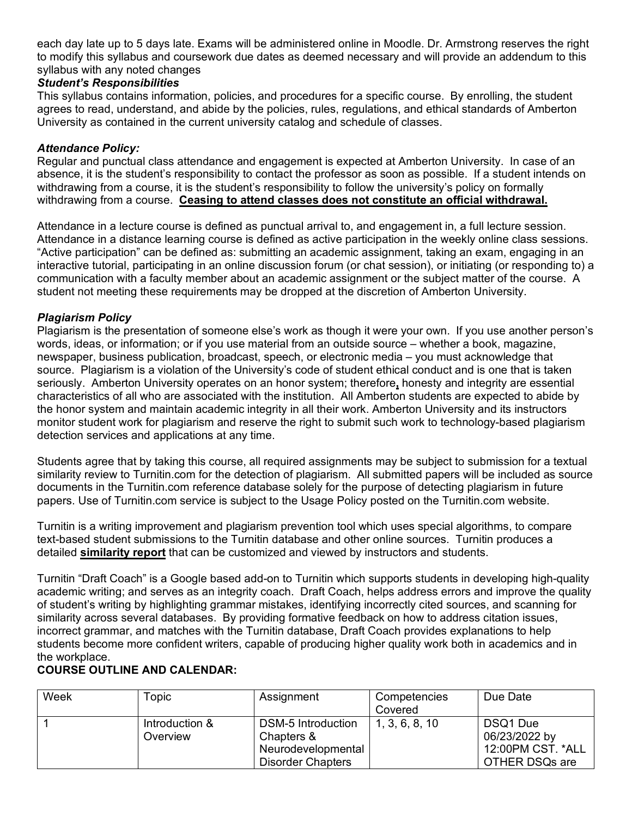each day late up to 5 days late. Exams will be administered online in Moodle. Dr. Armstrong reserves the right to modify this syllabus and coursework due dates as deemed necessary and will provide an addendum to this syllabus with any noted changes

# *Student's Responsibilities*

This syllabus contains information, policies, and procedures for a specific course. By enrolling, the student agrees to read, understand, and abide by the policies, rules, regulations, and ethical standards of Amberton University as contained in the current university catalog and schedule of classes.

# *Attendance Policy:*

Regular and punctual class attendance and engagement is expected at Amberton University. In case of an absence, it is the student's responsibility to contact the professor as soon as possible. If a student intends on withdrawing from a course, it is the student's responsibility to follow the university's policy on formally withdrawing from a course. **Ceasing to attend classes does not constitute an official withdrawal.**

Attendance in a lecture course is defined as punctual arrival to, and engagement in, a full lecture session. Attendance in a distance learning course is defined as active participation in the weekly online class sessions. "Active participation" can be defined as: submitting an academic assignment, taking an exam, engaging in an interactive tutorial, participating in an online discussion forum (or chat session), or initiating (or responding to) a communication with a faculty member about an academic assignment or the subject matter of the course. A student not meeting these requirements may be dropped at the discretion of Amberton University.

# *Plagiarism Policy*

Plagiarism is the presentation of someone else's work as though it were your own. If you use another person's words, ideas, or information; or if you use material from an outside source – whether a book, magazine, newspaper, business publication, broadcast, speech, or electronic media – you must acknowledge that source. Plagiarism is a violation of the University's code of student ethical conduct and is one that is taken seriously. Amberton University operates on an honor system; therefore**,** honesty and integrity are essential characteristics of all who are associated with the institution. All Amberton students are expected to abide by the honor system and maintain academic integrity in all their work. Amberton University and its instructors monitor student work for plagiarism and reserve the right to submit such work to technology-based plagiarism detection services and applications at any time.

Students agree that by taking this course, all required assignments may be subject to submission for a textual similarity review to Turnitin.com for the detection of plagiarism. All submitted papers will be included as source documents in the Turnitin.com reference database solely for the purpose of detecting plagiarism in future papers. Use of Turnitin.com service is subject to the Usage Policy posted on the Turnitin.com website.

Turnitin is a writing improvement and plagiarism prevention tool which uses special algorithms, to compare text-based student submissions to the Turnitin database and other online sources. Turnitin produces a detailed **similarity report** that can be customized and viewed by instructors and students.

Turnitin "Draft Coach" is a Google based add-on to Turnitin which supports students in developing high-quality academic writing; and serves as an integrity coach. Draft Coach, helps address errors and improve the quality of student's writing by highlighting grammar mistakes, identifying incorrectly cited sources, and scanning for similarity across several databases. By providing formative feedback on how to address citation issues, incorrect grammar, and matches with the Turnitin database, Draft Coach provides explanations to help students become more confident writers, capable of producing higher quality work both in academics and in the workplace.

# **COURSE OUTLINE AND CALENDAR:**

| Week | Topic          | Assignment               | Competencies   | Due Date          |
|------|----------------|--------------------------|----------------|-------------------|
|      |                |                          | Covered        |                   |
|      | Introduction & | DSM-5 Introduction       | 1, 3, 6, 8, 10 | DSQ1 Due          |
|      | Overview       | Chapters &               |                | 06/23/2022 by     |
|      |                | Neurodevelopmental       |                | 12:00PM CST. *ALL |
|      |                | <b>Disorder Chapters</b> |                | OTHER DSQs are    |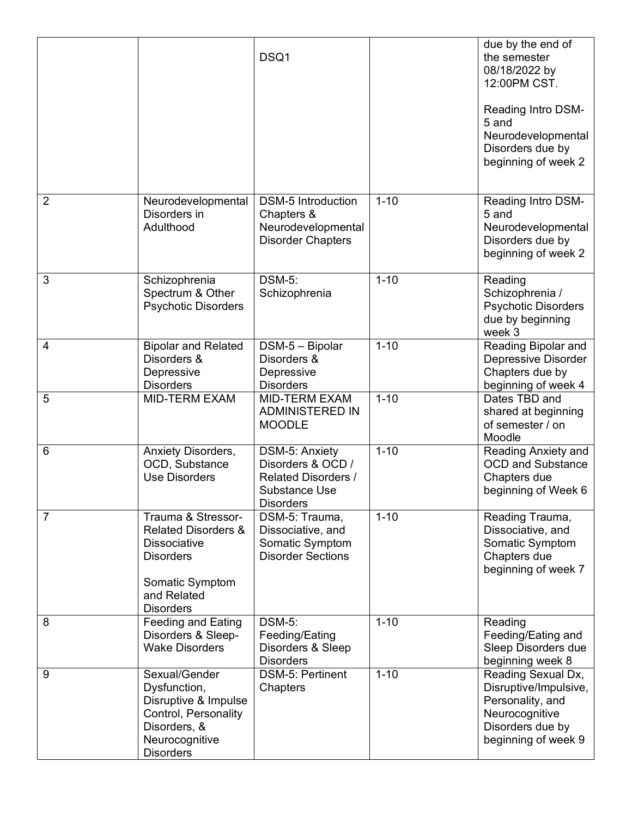|                |                                                                                                                                                       | DSQ1                                                                                                          |          | due by the end of<br>the semester<br>08/18/2022 by<br>12:00PM CST.<br>Reading Intro DSM-<br>5 and<br>Neurodevelopmental<br>Disorders due by<br>beginning of week 2 |
|----------------|-------------------------------------------------------------------------------------------------------------------------------------------------------|---------------------------------------------------------------------------------------------------------------|----------|--------------------------------------------------------------------------------------------------------------------------------------------------------------------|
| $\overline{2}$ | Neurodevelopmental<br>Disorders in<br>Adulthood                                                                                                       | <b>DSM-5 Introduction</b><br>Chapters &<br>Neurodevelopmental<br><b>Disorder Chapters</b>                     | $1 - 10$ | Reading Intro DSM-<br>5 and<br>Neurodevelopmental<br>Disorders due by<br>beginning of week 2                                                                       |
| 3              | Schizophrenia<br>Spectrum & Other<br><b>Psychotic Disorders</b>                                                                                       | <b>DSM-5:</b><br>Schizophrenia                                                                                | $1 - 10$ | Reading<br>Schizophrenia /<br><b>Psychotic Disorders</b><br>due by beginning<br>week 3                                                                             |
| $\overline{4}$ | <b>Bipolar and Related</b><br>Disorders &<br>Depressive<br><b>Disorders</b>                                                                           | DSM-5 - Bipolar<br>Disorders &<br>Depressive<br><b>Disorders</b>                                              | $1 - 10$ | Reading Bipolar and<br>Depressive Disorder<br>Chapters due by<br>beginning of week 4                                                                               |
| 5              | <b>MID-TERM EXAM</b>                                                                                                                                  | <b>MID-TERM EXAM</b><br><b>ADMINISTERED IN</b><br><b>MOODLE</b>                                               | $1 - 10$ | Dates TBD and<br>shared at beginning<br>of semester / on<br>Moodle                                                                                                 |
| 6              | Anxiety Disorders,<br>OCD, Substance<br><b>Use Disorders</b>                                                                                          | DSM-5: Anxiety<br>Disorders & OCD /<br><b>Related Disorders /</b><br><b>Substance Use</b><br><b>Disorders</b> | $1 - 10$ | Reading Anxiety and<br><b>OCD and Substance</b><br>Chapters due<br>beginning of Week 6                                                                             |
| 7              | Trauma & Stressor-<br><b>Related Disorders &amp;</b><br><b>Dissociative</b><br><b>Disorders</b><br>Somatic Symptom<br>and Related<br><b>Disorders</b> | DSM-5: Trauma,<br>Dissociative, and<br>Somatic Symptom<br><b>Disorder Sections</b>                            | $1 - 10$ | Reading Trauma,<br>Dissociative, and<br>Somatic Symptom<br>Chapters due<br>beginning of week 7                                                                     |
| 8              | Feeding and Eating<br>Disorders & Sleep-<br><b>Wake Disorders</b>                                                                                     | <b>DSM-5:</b><br>Feeding/Eating<br>Disorders & Sleep<br><b>Disorders</b>                                      | $1 - 10$ | Reading<br>Feeding/Eating and<br>Sleep Disorders due<br>beginning week 8                                                                                           |
| 9              | Sexual/Gender<br>Dysfunction,<br>Disruptive & Impulse<br>Control, Personality<br>Disorders, &<br>Neurocognitive<br><b>Disorders</b>                   | DSM-5: Pertinent<br>Chapters                                                                                  | $1 - 10$ | Reading Sexual Dx,<br>Disruptive/Impulsive,<br>Personality, and<br>Neurocognitive<br>Disorders due by<br>beginning of week 9                                       |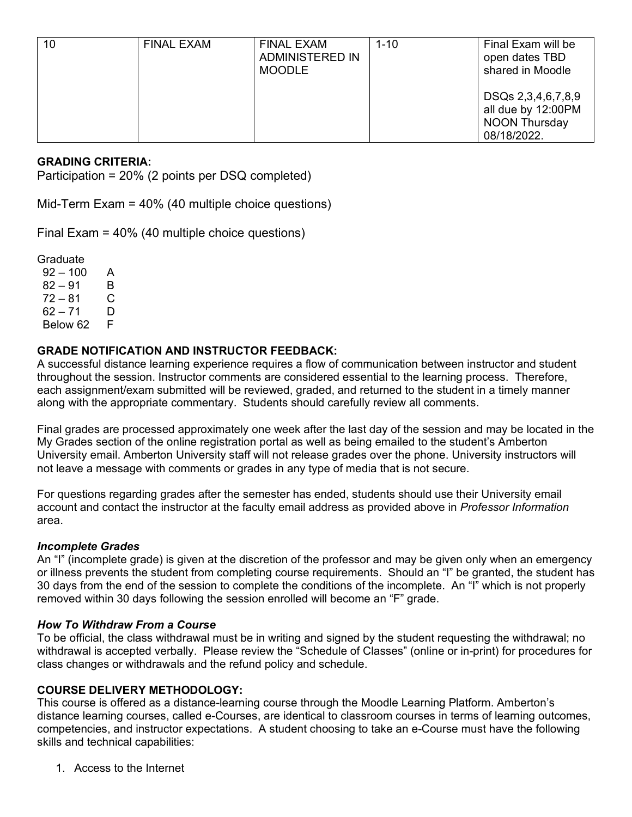| 10 | <b>FINAL EXAM</b> | <b>FINAL EXAM</b><br>ADMINISTERED IN<br><b>MOODLE</b> | $1 - 10$ | Final Exam will be<br>open dates TBD<br>shared in Moodle                        |
|----|-------------------|-------------------------------------------------------|----------|---------------------------------------------------------------------------------|
|    |                   |                                                       |          | DSQs 2,3,4,6,7,8,9<br>all due by 12:00PM<br><b>NOON Thursday</b><br>08/18/2022. |

# **GRADING CRITERIA:**

Participation = 20% (2 points per DSQ completed)

Mid-Term Exam = 40% (40 multiple choice questions)

Final Exam = 40% (40 multiple choice questions)

Graduate

 $92 - 100$  A  $82 - 91$  B  $72 - 81$  C 62 – 71 D Below 62

# **GRADE NOTIFICATION AND INSTRUCTOR FEEDBACK:**

A successful distance learning experience requires a flow of communication between instructor and student throughout the session. Instructor comments are considered essential to the learning process. Therefore, each assignment/exam submitted will be reviewed, graded, and returned to the student in a timely manner along with the appropriate commentary. Students should carefully review all comments.

Final grades are processed approximately one week after the last day of the session and may be located in the My Grades section of the online registration portal as well as being emailed to the student's Amberton University email. Amberton University staff will not release grades over the phone. University instructors will not leave a message with comments or grades in any type of media that is not secure.

For questions regarding grades after the semester has ended, students should use their University email account and contact the instructor at the faculty email address as provided above in *Professor Information* area.

### *Incomplete Grades*

An "I" (incomplete grade) is given at the discretion of the professor and may be given only when an emergency or illness prevents the student from completing course requirements. Should an "I" be granted, the student has 30 days from the end of the session to complete the conditions of the incomplete. An "I" which is not properly removed within 30 days following the session enrolled will become an "F" grade.

#### *How To Withdraw From a Course*

To be official, the class withdrawal must be in writing and signed by the student requesting the withdrawal; no withdrawal is accepted verbally. Please review the "Schedule of Classes" (online or in-print) for procedures for class changes or withdrawals and the refund policy and schedule.

## **COURSE DELIVERY METHODOLOGY:**

This course is offered as a distance-learning course through the Moodle Learning Platform. Amberton's distance learning courses, called e-Courses, are identical to classroom courses in terms of learning outcomes, competencies, and instructor expectations. A student choosing to take an e-Course must have the following skills and technical capabilities:

1. Access to the Internet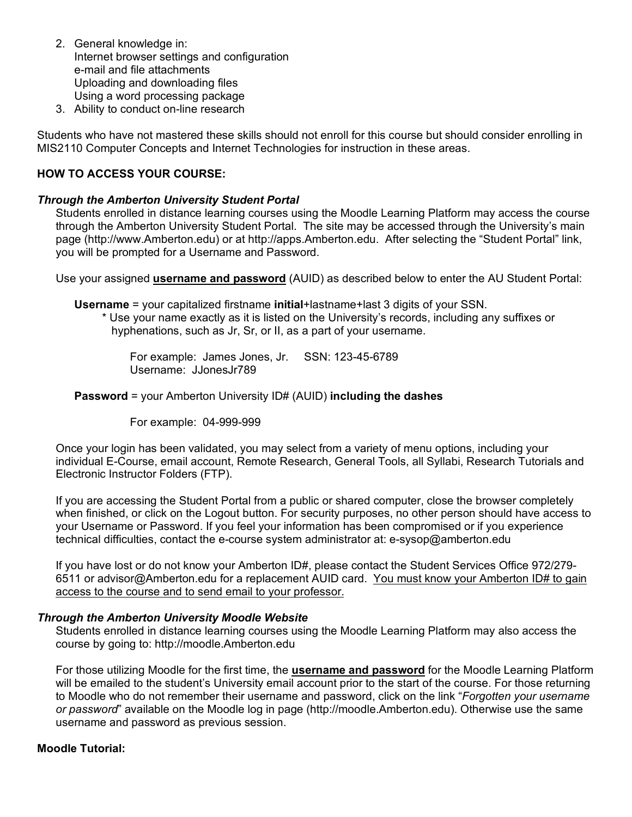- 2. General knowledge in: Internet browser settings and configuration e-mail and file attachments Uploading and downloading files Using a word processing package
- 3. Ability to conduct on-line research

Students who have not mastered these skills should not enroll for this course but should consider enrolling in MIS2110 Computer Concepts and Internet Technologies for instruction in these areas.

### **HOW TO ACCESS YOUR COURSE:**

#### *Through the Amberton University Student Portal*

Students enrolled in distance learning courses using the Moodle Learning Platform may access the course through the Amberton University Student Portal. The site may be accessed through the University's main page (http://www.Amberton.edu) or at http://apps.Amberton.edu. After selecting the "Student Portal" link, you will be prompted for a Username and Password.

Use your assigned **username and password** (AUID) as described below to enter the AU Student Portal:

**Username** = your capitalized firstname **initial**+lastname+last 3 digits of your SSN.

\* Use your name exactly as it is listed on the University's records, including any suffixes or hyphenations, such as Jr, Sr, or II, as a part of your username.

For example: James Jones, Jr. SSN: 123-45-6789 Username: JJonesJr789

**Password** = your Amberton University ID# (AUID) **including the dashes**

For example: 04-999-999

Once your login has been validated, you may select from a variety of menu options, including your individual E-Course, email account, Remote Research, General Tools, all Syllabi, Research Tutorials and Electronic Instructor Folders (FTP).

If you are accessing the Student Portal from a public or shared computer, close the browser completely when finished, or click on the Logout button. For security purposes, no other person should have access to your Username or Password. If you feel your information has been compromised or if you experience technical difficulties, contact the e-course system administrator at: e-sysop@amberton.edu

If you have lost or do not know your Amberton ID#, please contact the Student Services Office 972/279-6511 or advisor@Amberton.edu for a replacement AUID card. You must know your Amberton ID# to gain access to the course and to send email to your professor.

#### *Through the Amberton University Moodle Website*

Students enrolled in distance learning courses using the Moodle Learning Platform may also access the course by going to: http://moodle.Amberton.edu

For those utilizing Moodle for the first time, the **username and password** for the Moodle Learning Platform will be emailed to the student's University email account prior to the start of the course. For those returning to Moodle who do not remember their username and password, click on the link "*Forgotten your username or password*" available on the Moodle log in page (http://moodle.Amberton.edu). Otherwise use the same username and password as previous session.

#### **Moodle Tutorial:**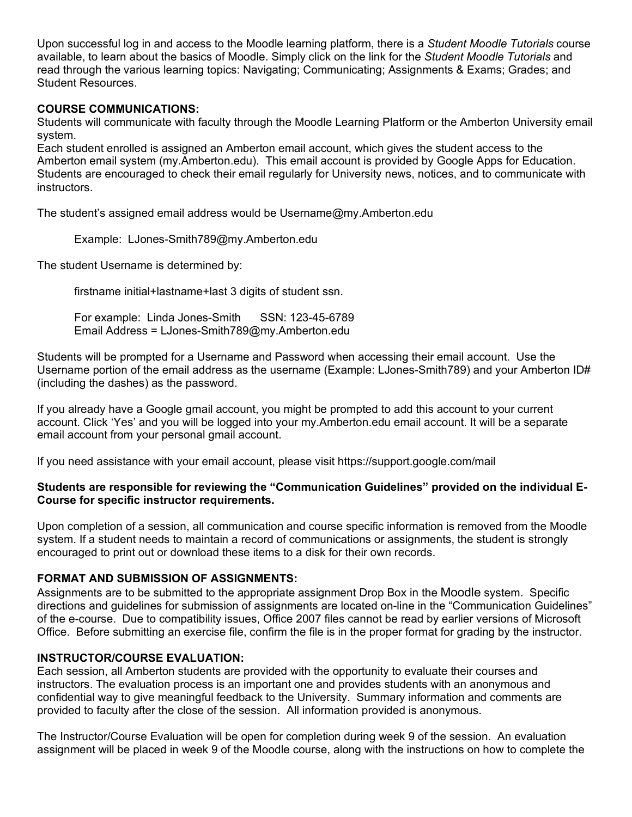Upon successful log in and access to the Moodle learning platform, there is a *Student Moodle Tutorials* course available, to learn about the basics of Moodle. Simply click on the link for the *Student Moodle Tutorials* and read through the various learning topics: Navigating; Communicating; Assignments & Exams; Grades; and Student Resources.

## **COURSE COMMUNICATIONS:**

Students will communicate with faculty through the Moodle Learning Platform or the Amberton University email system.

Each student enrolled is assigned an Amberton email account, which gives the student access to the Amberton email system (my.Amberton.edu). This email account is provided by Google Apps for Education. Students are encouraged to check their email regularly for University news, notices, and to communicate with instructors.

The student's assigned email address would be Username@my.Amberton.edu

Example: LJones-Smith789@my.Amberton.edu

The student Username is determined by:

firstname initial+lastname+last 3 digits of student ssn.

For example: Linda Jones-Smith SSN: 123-45-6789 Email Address = LJones-Smith789@my.Amberton.edu

Students will be prompted for a Username and Password when accessing their email account. Use the Username portion of the email address as the username (Example: LJones-Smith789) and your Amberton ID# (including the dashes) as the password.

If you already have a Google gmail account, you might be prompted to add this account to your current account. Click 'Yes' and you will be logged into your my.Amberton.edu email account. It will be a separate email account from your personal gmail account.

If you need assistance with your email account, please visit https://support.google.com/mail

## **Students are responsible for reviewing the "Communication Guidelines" provided on the individual E-Course for specific instructor requirements.**

Upon completion of a session, all communication and course specific information is removed from the Moodle system. If a student needs to maintain a record of communications or assignments, the student is strongly encouraged to print out or download these items to a disk for their own records.

## **FORMAT AND SUBMISSION OF ASSIGNMENTS:**

Assignments are to be submitted to the appropriate assignment Drop Box in the Moodle system. Specific directions and guidelines for submission of assignments are located on-line in the "Communication Guidelines" of the e-course. Due to compatibility issues, Office 2007 files cannot be read by earlier versions of Microsoft Office. Before submitting an exercise file, confirm the file is in the proper format for grading by the instructor.

## **INSTRUCTOR/COURSE EVALUATION:**

Each session, all Amberton students are provided with the opportunity to evaluate their courses and instructors. The evaluation process is an important one and provides students with an anonymous and confidential way to give meaningful feedback to the University. Summary information and comments are provided to faculty after the close of the session. All information provided is anonymous.

The Instructor/Course Evaluation will be open for completion during week 9 of the session. An evaluation assignment will be placed in week 9 of the Moodle course, along with the instructions on how to complete the